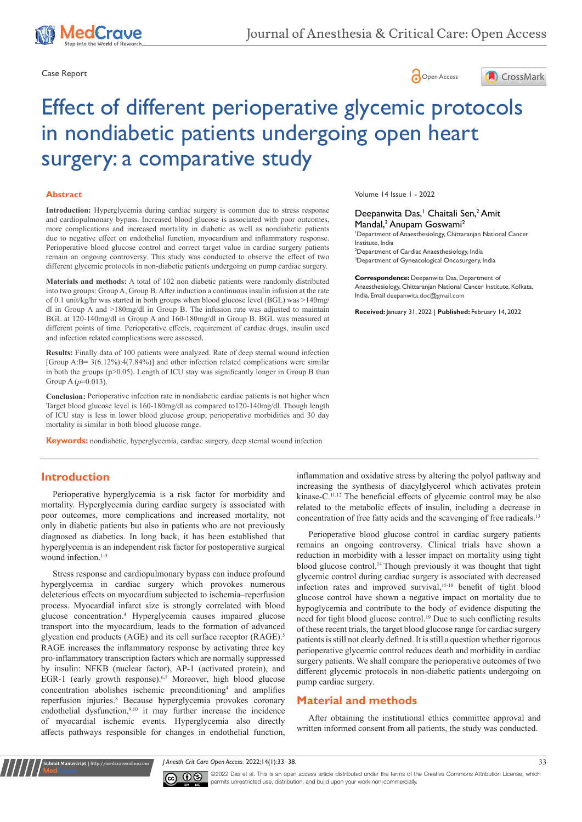





# Effect of different perioperative glycemic protocols in nondiabetic patients undergoing open heart surgery: a comparative study

#### **Abstract**

**Introduction:** Hyperglycemia during cardiac surgery is common due to stress response and cardiopulmonary bypass. Increased blood glucose is associated with poor outcomes, more complications and increased mortality in diabetic as well as nondiabetic patients due to negative effect on endothelial function, myocardium and inflammatory response. Perioperative blood glucose control and correct target value in cardiac surgery patients remain an ongoing controversy. This study was conducted to observe the effect of two different glycemic protocols in non-diabetic patients undergoing on pump cardiac surgery.

**Materials and methods:** A total of 102 non diabetic patients were randomly distributed into two groups: Group A, Group B. After induction a continuous insulin infusion at the rate of 0.1 unit/kg/hr was started in both groups when blood glucose level (BGL) was >140mg/ dl in Group A and >180mg/dl in Group B. The infusion rate was adjusted to maintain BGL at 120-140mg/dl in Group A and 160-180mg/dl in Group B. BGL was measured at different points of time. Perioperative effects, requirement of cardiac drugs, insulin used and infection related complications were assessed.

**Results:** Finally data of 100 patients were analyzed. Rate of deep sternal wound infection [Group  $A:B= 3(6.12\%)$ :4(7.84%)] and other infection related complications were similar in both the groups (p>0.05). Length of ICU stay was significantly longer in Group B than Group A (*p*=0.013).

**Conclusion:** Perioperative infection rate in nondiabetic cardiac patients is not higher when Target blood glucose level is 160-180mg/dl as compared to120-140mg/dl. Though length of ICU stay is less in lower blood glucose group; perioperative morbidities and 30 day mortality is similar in both blood glucose range.

**Keywords:** nondiabetic, hyperglycemia, cardiac surgery, deep sternal wound infection

Volume 14 Issue 1 - 2022

Deepanwita Das,<sup>1</sup> Chaitali Sen,<sup>2</sup> Amit Mandal,<sup>3</sup> Anupam Goswami<sup>2</sup>

 Department of Anaesthesiology, Chittaranjan National Cancer Institute, India Department of Cardiac Anaesthesiology, India Department of Gyneacological Oncosurgery, India

**Correspondence:** Deepanwita Das, Department of Anaesthesiology, Chittaranjan National Cancer Institute, Kolkata, India, Email deepanwita.doc@gmail.com

**Received:** January 31, 2022 | **Published:** February 14, 2022

### **Introduction**

Perioperative hyperglycemia is a risk factor for morbidity and mortality. Hyperglycemia during cardiac surgery is associated with poor outcomes, more complications and increased mortality, not only in diabetic patients but also in patients who are not previously diagnosed as diabetics. In long back, it has been established that hyperglycemia is an independent risk factor for postoperative surgical wound infection.<sup>1-3</sup>

Stress response and cardiopulmonary bypass can induce profound hyperglycemia in cardiac surgery which provokes numerous deleterious effects on myocardium subjected to ischemia–reperfusion process. Myocardial infarct size is strongly correlated with blood glucose concentration.4 Hyperglycemia causes impaired glucose transport into the myocardium, leads to the formation of advanced glycation end products (AGE) and its cell surface receptor (RAGE).<sup>5</sup> RAGE increases the inflammatory response by activating three key pro-inflammatory transcription factors which are normally suppressed by insulin: NFKB (nuclear factor), AP-1 (activated protein), and EGR-1 (early growth response).<sup>6,7</sup> Moreover, high blood glucose concentration abolishes ischemic preconditioning<sup>4</sup> and amplifies reperfusion injuries.<sup>8</sup> Because hyperglycemia provokes coronary endothelial dysfunction,<sup>9,10</sup> it may further increase the incidence of myocardial ischemic events. Hyperglycemia also directly affects pathways responsible for changes in endothelial function,

inflammation and oxidative stress by altering the polyol pathway and increasing the synthesis of diacylglycerol which activates protein kinase-C.11,12 The beneficial effects of glycemic control may be also related to the metabolic effects of insulin, including a decrease in concentration of free fatty acids and the scavenging of free radicals.<sup>13</sup>

Perioperative blood glucose control in cardiac surgery patients remains an ongoing controversy. Clinical trials have shown a reduction in morbidity with a lesser impact on mortality using tight blood glucose control.14 Though previously it was thought that tight glycemic control during cardiac surgery is associated with decreased infection rates and improved survival,<sup>15-18</sup> benefit of tight blood glucose control have shown a negative impact on mortality due to hypoglycemia and contribute to the body of evidence disputing the need for tight blood glucose control.<sup>19</sup> Due to such conflicting results of these recent trials, the target blood glucose range for cardiac surgery patients is still not clearly defined. It is still a question whether rigorous perioperative glycemic control reduces death and morbidity in cardiac surgery patients. We shall compare the perioperative outcomes of two different glycemic protocols in non-diabetic patients undergoing on pump cardiac surgery.

## **Material and methods**

After obtaining the institutional ethics committee approval and written informed consent from all patients, the study was conducted.

*J Anesth Crit Care Open Access.* 2022;14(1):33‒38. 33



**it Manuscript** | http://medcraveonline.c

©2022 Das et al. This is an open access article distributed under the terms of the [Creative Commons Attribution License](https://creativecommons.org/licenses/by-nc/4.0/), which permits unrestricted use, distribution, and build upon your work non-commercially.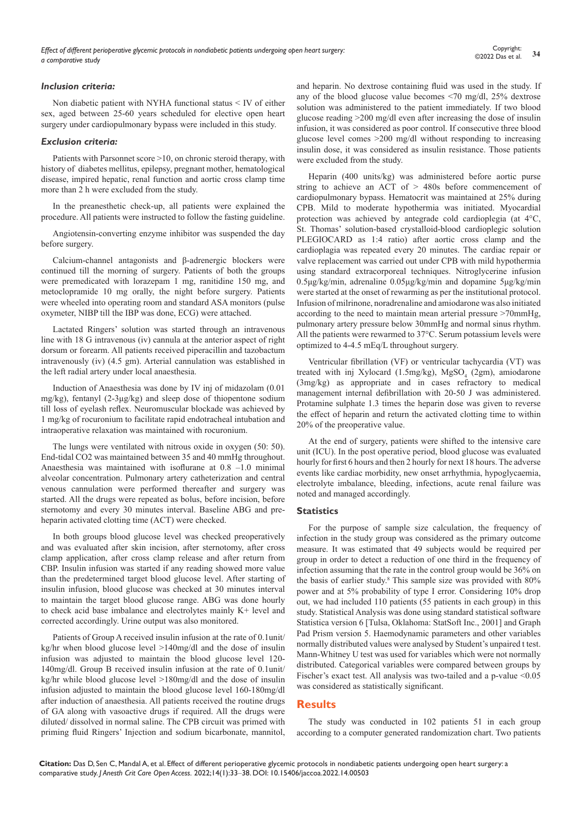#### *Inclusion criteria:*

Non diabetic patient with NYHA functional status < IV of either sex, aged between 25-60 years scheduled for elective open heart surgery under cardiopulmonary bypass were included in this study.

#### *Exclusion criteria:*

Patients with Parsonnet score >10, on chronic steroid therapy, with history of diabetes mellitus, epilepsy, pregnant mother, hematological disease, impired hepatic, renal function and aortic cross clamp time more than 2 h were excluded from the study.

In the preanesthetic check-up, all patients were explained the procedure. All patients were instructed to follow the fasting guideline.

Angiotensin-converting enzyme inhibitor was suspended the day before surgery.

Calcium-channel antagonists and β-adrenergic blockers were continued till the morning of surgery. Patients of both the groups were premedicated with lorazepam 1 mg, ranitidine 150 mg, and metoclopramide 10 mg orally, the night before surgery. Patients were wheeled into operating room and standard ASA monitors (pulse oxymeter, NIBP till the IBP was done, ECG) were attached.

Lactated Ringers' solution was started through an intravenous line with 18 G intravenous (iv) cannula at the anterior aspect of right dorsum or forearm. All patients received piperacillin and tazobactum intravenously (iv) (4.5 gm). Arterial cannulation was established in the left radial artery under local anaesthesia.

Induction of Anaesthesia was done by IV inj of midazolam (0.01 mg/kg), fentanyl (2-3μg/kg) and sleep dose of thiopentone sodium till loss of eyelash reflex. Neuromuscular blockade was achieved by 1 mg/kg of rocuronium to facilitate rapid endotracheal intubation and intraoperative relaxation was maintained with rocuronium.

The lungs were ventilated with nitrous oxide in oxygen (50: 50). End-tidal CO2 was maintained between 35 and 40 mmHg throughout. Anaesthesia was maintained with isoflurane at 0.8 –1.0 minimal alveolar concentration. Pulmonary artery catheterization and central venous cannulation were performed thereafter and surgery was started. All the drugs were repeated as bolus, before incision, before sternotomy and every 30 minutes interval. Baseline ABG and preheparin activated clotting time (ACT) were checked.

In both groups blood glucose level was checked preoperatively and was evaluated after skin incision, after sternotomy, after cross clamp application, after cross clamp release and after return from CBP. Insulin infusion was started if any reading showed more value than the predetermined target blood glucose level. After starting of insulin infusion, blood glucose was checked at 30 minutes interval to maintain the target blood glucose range. ABG was done hourly to check acid base imbalance and electrolytes mainly K+ level and corrected accordingly. Urine output was also monitored.

Patients of Group A received insulin infusion at the rate of 0.1unit/ kg/hr when blood glucose level >140mg/dl and the dose of insulin infusion was adjusted to maintain the blood glucose level 120- 140mg/dl. Group B received insulin infusion at the rate of 0.1unit/ kg/hr while blood glucose level >180mg/dl and the dose of insulin infusion adjusted to maintain the blood glucose level 160-180mg/dl after induction of anaesthesia. All patients received the routine drugs of GA along with vasoactive drugs if required. All the drugs were diluted/ dissolved in normal saline. The CPB circuit was primed with priming fluid Ringers' Injection and sodium bicarbonate, mannitol, and heparin. No dextrose containing fluid was used in the study. If any of the blood glucose value becomes <70 mg/dl, 25% dextrose solution was administered to the patient immediately. If two blood glucose reading >200 mg/dl even after increasing the dose of insulin infusion, it was considered as poor control. If consecutive three blood glucose level comes >200 mg/dl without responding to increasing insulin dose, it was considered as insulin resistance. Those patients were excluded from the study.

Heparin (400 units/kg) was administered before aortic purse string to achieve an ACT of > 480s before commencement of cardiopulmonary bypass. Hematocrit was maintained at 25% during CPB. Mild to moderate hypothermia was initiated. Myocardial protection was achieved by antegrade cold cardioplegia (at 4°C, St. Thomas' solution-based crystalloid-blood cardioplegic solution PLEGIOCARD as 1:4 ratio) after aortic cross clamp and the cardioplagia was repeated every 20 minutes. The cardiac repair or valve replacement was carried out under CPB with mild hypothermia using standard extracorporeal techniques. Nitroglycerine infusion 0.5μg/kg/min, adrenaline 0.05μg/kg/min and dopamine 5μg/kg/min were started at the onset of rewarming as per the institutional protocol. Infusion of milrinone, noradrenaline and amiodarone was also initiated according to the need to maintain mean arterial pressure >70mmHg, pulmonary artery pressure below 30mmHg and normal sinus rhythm. All the patients were rewarmed to 37°C. Serum potassium levels were optimized to 4-4.5 mEq/L throughout surgery.

Ventricular fibrillation (VF) or ventricular tachycardia (VT) was treated with inj Xylocard (1.5mg/kg),  $MgSO<sub>4</sub>$  (2gm), amiodarone (3mg/kg) as appropriate and in cases refractory to medical management internal defibrillation with 20-50 J was administered. Protamine sulphate 1.3 times the heparin dose was given to reverse the effect of heparin and return the activated clotting time to within 20% of the preoperative value.

At the end of surgery, patients were shifted to the intensive care unit (ICU). In the post operative period, blood glucose was evaluated hourly for first 6 hours and then 2 hourly for next 18 hours. The adverse events like cardiac morbidity, new onset arrhythmia, hypoglycaemia, electrolyte imbalance, bleeding, infections, acute renal failure was noted and managed accordingly.

#### **Statistics**

For the purpose of sample size calculation, the frequency of infection in the study group was considered as the primary outcome measure. It was estimated that 49 subjects would be required per group in order to detect a reduction of one third in the frequency of infection assuming that the rate in the control group would be 36% on the basis of earlier study.8 This sample size was provided with 80% power and at 5% probability of type I error. Considering 10% drop out, we had included 110 patients (55 patients in each group) in this study. Statistical Analysis was done using standard statistical software Statistica version 6 [Tulsa, Oklahoma: StatSoft Inc., 2001] and Graph Pad Prism version 5. Haemodynamic parameters and other variables normally distributed values were analysed by Student's unpaired t test. Mann-Whitney U test was used for variables which were not normally distributed. Categorical variables were compared between groups by Fischer's exact test. All analysis was two-tailed and a p-value <0.05 was considered as statistically significant.

#### **Results**

The study was conducted in 102 patients 51 in each group according to a computer generated randomization chart. Two patients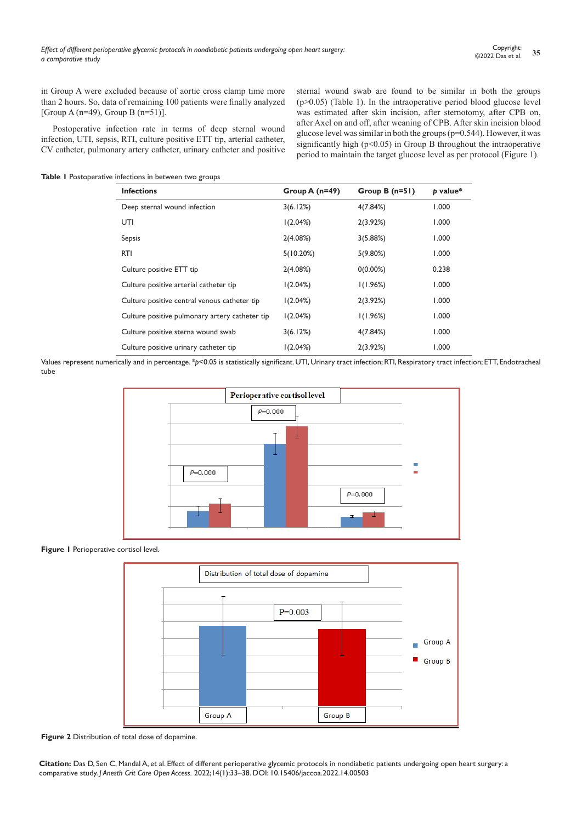in Group A were excluded because of aortic cross clamp time more than 2 hours. So, data of remaining 100 patients were finally analyzed [Group A (n=49), Group B (n=51)].

Postoperative infection rate in terms of deep sternal wound infection, UTI, sepsis, RTI, culture positive ETT tip, arterial catheter, CV catheter, pulmonary artery catheter, urinary catheter and positive sternal wound swab are found to be similar in both the groups (p>0.05) (Table 1). In the intraoperative period blood glucose level was estimated after skin incision, after sternotomy, after CPB on, after Axcl on and off, after weaning of CPB. After skin incision blood glucose level was similar in both the groups ( $p=0.544$ ). However, it was significantly high (p<0.05) in Group B throughout the intraoperative period to maintain the target glucose level as per protocol (Figure 1).

**Table 1** Postoperative infections in between two groups

| <b>Infections</b>                              | Group A $(n=49)$ | Group B $(n=51)$ | $p$ value* |
|------------------------------------------------|------------------|------------------|------------|
| Deep sternal wound infection                   | 3(6.12%)         | 4(7.84%)         | 000.1      |
| UTI                                            | 1(2.04%)         | 2(3.92%)         | 1.000      |
| Sepsis                                         | 2(4.08%)         | 3(5.88%)         | 1.000      |
| <b>RTI</b>                                     | 5(10.20%)        | $5(9.80\%)$      | 1.000      |
| Culture positive ETT tip                       | 2(4.08%)         | $0(0.00\%)$      | 0.238      |
| Culture positive arterial catheter tip         | 1(2.04%)         | 1(1.96%)         | 1.000      |
| Culture positive central venous catheter tip   | 1(2.04%)         | 2(3.92%)         | 1.000      |
| Culture positive pulmonary artery catheter tip | 1(2.04%)         | 1(1.96%)         | 1.000      |
| Culture positive sterna wound swab             | 3(6.12%)         | 4(7.84%)         | 1.000      |
| Culture positive urinary catheter tip          | 1(2.04%)         | 2(3.92%)         | 1.000      |

Values represent numerically and in percentage. \**p*<0.05 is statistically significant. UTI, Urinary tract infection; RTI, Respiratory tract infection; ETT, Endotracheal tube



**Figure I** Perioperative cortisol level.



**Figure 2** Distribution of total dose of dopamine.

**Citation:** Das D, Sen C, Mandal A, et al. Effect of different perioperative glycemic protocols in nondiabetic patients undergoing open heart surgery: a comparative study. *J Anesth Crit Care Open Access.* 2022;14(1):33‒38. DOI: [10.15406/jaccoa.2022.14.00503](https://doi.org/10.15406/jaccoa.2022.14.00503)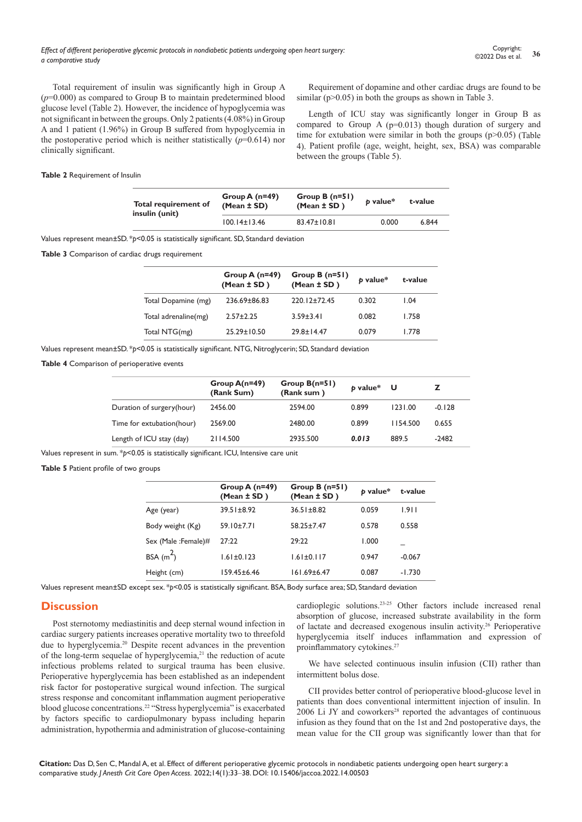*Effect of different perioperative glycemic protocols in nondiabetic patients undergoing open heart surgery: a comparative study*

Total requirement of insulin was significantly high in Group A  $(p=0.000)$  as compared to Group B to maintain predetermined blood glucose level (Table 2). However, the incidence of hypoglycemia was not significant in between the groups. Only 2 patients (4.08%) in Group A and 1 patient (1.96%) in Group B suffered from hypoglycemia in the postoperative period which is neither statistically  $(p=0.614)$  nor clinically significant.

Requirement of dopamine and other cardiac drugs are found to be similar ( $p > 0.05$ ) in both the groups as shown in Table 3.

Length of ICU stay was significantly longer in Group B as compared to Group A  $(p=0.013)$  though duration of surgery and time for extubation were similar in both the groups  $(p>0.05)$  (Table 4). Patient profile (age, weight, height, sex, BSA) was comparable between the groups (Table 5).

#### **Table 2** Requirement of Insulin

| Total requirement of<br>insulin (unit) | Group A $(n=49)$<br>$(Mean \pm SD)$ | Group B $(n=51)$<br>$(Mean \pm SD)$ | b value* | t-value |
|----------------------------------------|-------------------------------------|-------------------------------------|----------|---------|
|                                        | $100.14 \pm 13.46$                  | $83.47 \pm 10.81$                   | 0.000    | 6.844   |

Values represent mean±SD. \**p*<0.05 is statistically significant. SD, Standard deviation

**Table 3** Comparison of cardiac drugs requirement

|                      | Group A $(n=49)$<br>$(Mean \pm SD)$ | Group $B(n=51)$<br>$(Mean \pm SD)$ | b value* | t-value |
|----------------------|-------------------------------------|------------------------------------|----------|---------|
| Total Dopamine (mg)  | $236.69 \pm 86.83$                  | $220.12 + 72.45$                   | 0.302    | 1.04    |
| Total adrenaline(mg) | $2.57 + 2.25$                       | $3.59 + 3.41$                      | 0.082    | 1.758   |
| Total NTG(mg)        | $25.29 \pm 10.50$                   | $79.8 + 14.47$                     | 0.079    | 1.778   |

Values represent mean±SD. \**p*<0.05 is statistically significant. NTG, Nitroglycerin; SD, Standard deviation

**Table 4** Comparison of perioperative events

|                           | Group $A(n=49)$<br>(Rank Sum) | Group $B(n=51)$<br>(Rank sum) | b value* | U        |          |
|---------------------------|-------------------------------|-------------------------------|----------|----------|----------|
| Duration of surgery(hour) | 2456.00                       | 2594.00                       | 0.899    | 1231.00  | $-0.128$ |
| Time for extubation(hour) | 2569.00                       | 2480.00                       | 0.899    | 1154.500 | 0.655    |
| Length of ICU stay (day)  | 2114.500                      | 2935.500                      | 0.013    | 889.5    | $-2482$  |

Values represent in sum. \**p*<0.05 is statistically significant. ICU, Intensive care unit

**Table 5** Patient profile of two groups

|                     | Group A $(n=49)$<br>(Mean $\pm$ SD) | Group B $(n=51)$<br>(Mean $\pm$ SD) | p value* | t-value  |
|---------------------|-------------------------------------|-------------------------------------|----------|----------|
| Age (year)          | $39.51 \pm 8.92$                    | $36.51 \pm 8.82$                    | 0.059    | 1.911    |
| Body weight (Kg)    | $59.10 \pm 7.71$                    | 58.25±7.47                          | 0.578    | 0.558    |
| Sex (Male: Female)# | 77:22                               | 29:22                               | 1.000    |          |
| BSA $(m^2)$         | $1.61 \pm 0.123$                    | $1.61 \pm 0.117$                    | 0.947    | $-0.067$ |
| Height (cm)         | $159.45 \pm 6.46$                   | $161.69 \pm 6.47$                   | 0.087    | $-1.730$ |
|                     |                                     |                                     |          |          |

Values represent mean±SD except sex. \**p*<0.05 is statistically significant. BSA, Body surface area; SD, Standard deviation

#### **Discussion**

Post sternotomy mediastinitis and deep sternal wound infection in cardiac surgery patients increases operative mortality two to threefold due to hyperglycemia.20 Despite recent advances in the prevention of the long-term sequelae of hyperglycemia,<sup>21</sup> the reduction of acute infectious problems related to surgical trauma has been elusive. Perioperative hyperglycemia has been established as an independent risk factor for postoperative surgical wound infection. The surgical stress response and concomitant inflammation augment perioperative blood glucose concentrations.22 "Stress hyperglycemia" is exacerbated by factors specific to cardiopulmonary bypass including heparin administration, hypothermia and administration of glucose-containing

cardioplegic solutions.23-25 Other factors include increased renal absorption of glucose, increased substrate availability in the form of lactate and decreased exogenous insulin activity.26 Perioperative hyperglycemia itself induces inflammation and expression of proinflammatory cytokines.<sup>27</sup>

We have selected continuous insulin infusion (CII) rather than intermittent bolus dose.

CII provides better control of perioperative blood-glucose level in patients than does conventional intermittent injection of insulin. In  $2006$  Li JY and coworkers<sup>28</sup> reported the advantages of continuous infusion as they found that on the 1st and 2nd postoperative days, the mean value for the CII group was significantly lower than that for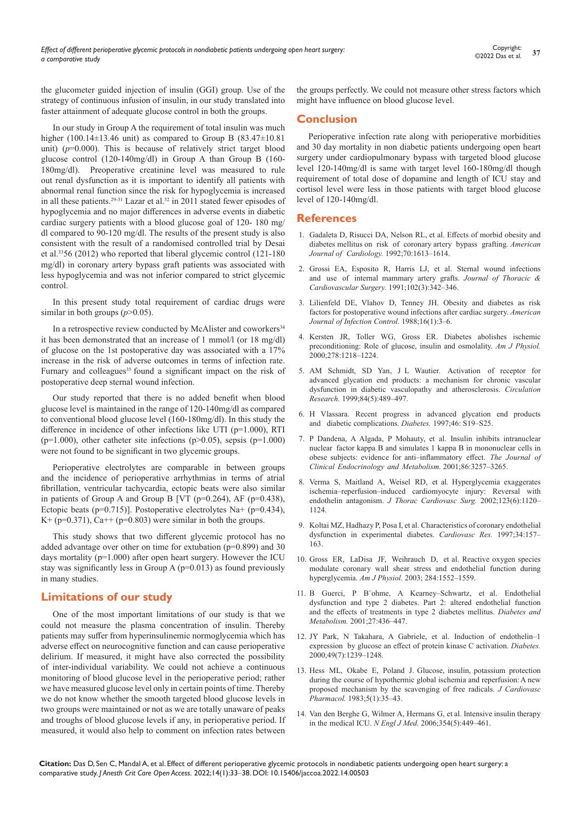the glucometer guided injection of insulin (GGI) group. Use of the strategy of continuous infusion of insulin, in our study translated into faster attainment of adequate glucose control in both the groups.

In our study in Group A the requirement of total insulin was much higher (100.14 $\pm$ 13.46 unit) as compared to Group B (83.47 $\pm$ 10.81 unit)  $(p=0.000)$ . This is because of relatively strict target blood glucose control (120-140mg/dl) in Group A than Group B (160- 180mg/dl). Preoperative creatinine level was measured to rule out renal dysfunction as it is important to identify all patients with abnormal renal function since the risk for hypoglycemia is increased in all these patients.<sup>29-31</sup> Lazar et al.<sup>32</sup> in 2011 stated fewer episodes of hypoglycemia and no major differences in adverse events in diabetic cardiac surgery patients with a blood glucose goal of 120- 180 mg/ dl compared to 90-120 mg/dl. The results of the present study is also consistent with the result of a randomised controlled trial by Desai et al.3356 (2012) who reported that liberal glycemic control (121-180 mg/dl) in coronary artery bypass graft patients was associated with less hypoglycemia and was not inferior compared to strict glycemic control.

In this present study total requirement of cardiac drugs were similar in both groups  $(p>0.05)$ .

In a retrospective review conducted by McAlister and coworkers<sup>34</sup> it has been demonstrated that an increase of 1 mmol/l (or 18 mg/dl) of glucose on the 1st postoperative day was associated with a 17% increase in the risk of adverse outcomes in terms of infection rate. Furnary and colleagues<sup>35</sup> found a significant impact on the risk of postoperative deep sternal wound infection.

Our study reported that there is no added benefit when blood glucose level is maintained in the range of 120-140mg/dl as compared to conventional blood glucose level (160-180mg/dl). In this study the difference in incidence of other infections like UTI (p=1.000), RTI ( $p=1.000$ ), other catheter site infections ( $p>0.05$ ), sepsis ( $p=1.000$ ) were not found to be significant in two glycemic groups.

Perioperative electrolytes are comparable in between groups and the incidence of perioperative arrhythmias in terms of atrial fibrillation, ventricular tachycardia, ectopic beats were also similar in patients of Group A and Group B [VT ( $p=0.264$ ), AF ( $p=0.438$ ), Ectopic beats ( $p=0.715$ )]. Postoperative electrolytes Na+ ( $p=0.434$ ), K+ ( $p=0.371$ ), Ca++ ( $p=0.803$ ) were similar in both the groups.

This study shows that two different glycemic protocol has no added advantage over other on time for extubation (p=0.899) and 30 days mortality (p=1.000) after open heart surgery. However the ICU stay was significantly less in Group A (p=0.013) as found previously in many studies.

# **Limitations of our study**

One of the most important limitations of our study is that we could not measure the plasma concentration of insulin. Thereby patients may suffer from hyperinsulinemic normoglycemia which has adverse effect on neurocognitive function and can cause perioperative delirium. If measured, it might have also corrected the possibility of inter-individual variability. We could not achieve a continuous monitoring of blood glucose level in the perioperative period; rather we have measured glucose level only in certain points of time. Thereby we do not know whether the smooth targeted blood glucose levels in two groups were maintained or not as we are totally unaware of peaks and troughs of blood glucose levels if any, in perioperative period. If measured, it would also help to comment on infection rates between

the groups perfectly. We could not measure other stress factors which might have influence on blood glucose level.

# **Conclusion**

Perioperative infection rate along with perioperative morbidities and 30 day mortality in non diabetic patients undergoing open heart surgery under cardiopulmonary bypass with targeted blood glucose level 120-140mg/dl is same with target level 160-180mg/dl though requirement of total dose of dopamine and length of ICU stay and cortisol level were less in those patients with target blood glucose level of 120-140mg/dl.

## **References**

- 1. Gadaleta D, Risucci DA, Nelson RL, et al. Effects of morbid obesity and diabetes mellitus on risk of coronary artery bypass grafting. *American*  Journal of Cardiology. 1992;70:1613-1614.
- 2. Grossi EA, Esposito R, Harris LJ, et al. Sternal wound [infections](https://www.sciencedirect.com/science/article/pii/S002252231936516X) and use of [internal mammary](https://www.sciencedirect.com/science/article/pii/S002252231936516X) artery grafts. *Journal of Thoracic & Cardiovascular Surgery.* [1991;102\(3\):342](https://www.sciencedirect.com/science/article/pii/S002252231936516X)‒346.
- 3. Lilienfeld DE, [Vlahov D,](https://www.sciencedirect.com/science/article/abs/pii/019665538890003X) Tenney JH. Obesity and diabetes as risk factors [for postoperative](https://www.sciencedirect.com/science/article/abs/pii/019665538890003X) wound infections after cardiac surgery. *American Journal [of Infection Control.](https://www.sciencedirect.com/science/article/abs/pii/019665538890003X)* 1988;16(1):3‒6.
- 4. Kersten JR, Toller WG, Gross ER. Diabetes abolishes [ischemic](https://journals.physiology.org/doi/pdf/10.1152/ajpheart.2000.278.4.H1218)  [preconditioning:](https://journals.physiology.org/doi/pdf/10.1152/ajpheart.2000.278.4.H1218) Role of glucose, insulin and osmolality. *Am J Physiol.* [2000;278:1218–1224.](https://journals.physiology.org/doi/pdf/10.1152/ajpheart.2000.278.4.H1218)
- 5. AM Schmidt, SD Yan, J L [Wautier. Activation of](https://pubmed.ncbi.nlm.nih.gov/10082470/) receptor for advanced glycation end products: a [mechanism for](https://pubmed.ncbi.nlm.nih.gov/10082470/) chronic vascular [dysfunction in diabetic](https://pubmed.ncbi.nlm.nih.gov/10082470/) vasculopathy and atherosclerosis. *Circulation Research.* [1999;84\(5\):489–497.](https://pubmed.ncbi.nlm.nih.gov/10082470/)
- 6. [H Vlassara. Recent progress in advanced glycation end products](https://diabetesjournals.org/diabetes/article/46/Supplement_2/S19/9679/Recent-Progress-in-Advanced-Glycation-End-Products)  [and diabetic complications.](https://diabetesjournals.org/diabetes/article/46/Supplement_2/S19/9679/Recent-Progress-in-Advanced-Glycation-End-Products) *Diabetes.* 1997;46: S19–S25.
- 7. P Dandena, A Algada, P Mohauty, et al. Insulin inhibits intranuclear nuclear factor kappa B and simulates 1 kappa B in mononuclear cells in obese subjects: evidence for anti-inflammatory effect. The Journal of *Clinical Endocrinology and Metabolism.* 2001;86:3257–3265.
- 8. Verma S, Maitland A, Weisel RD, et al. [Hyperglycemia e](https://pubmed.ncbi.nlm.nih.gov/12063458/)xaggerates ischemia-reperfusion-induced [cardiomyocyte in](https://pubmed.ncbi.nlm.nih.gov/12063458/)jury: Reversal with endothelin antagonism. *J Thorac Cardiovasc Surg.* 20[02;123\(6\):1120–](https://pubmed.ncbi.nlm.nih.gov/12063458/) [1124.](https://pubmed.ncbi.nlm.nih.gov/12063458/)
- 9. Koltai MZ, Hadhazy P, Posa I, et al. Characteristics of coronary endothelial dysfunction in experimental diabetes. *Cardiovasc Res.* 1997;34:157– 163.
- 10. Gross ER, LaDisa J[F, Weihrauch D, et al.](https://journals.physiology.org/doi/full/10.1152/ajpheart.01013.2002) Reactive oxygen species modulate coronary wall shear [stress and endothelial function](https://journals.physiology.org/doi/full/10.1152/ajpheart.01013.2002) during [hyperglycemia.](https://journals.physiology.org/doi/full/10.1152/ajpheart.01013.2002) *Am J Physiol.* 2003; 284:1552–1559.
- 11. B Guerci, P B"ohme, A Kearney-Schwartz, et al. Endothelial dysfunction and type 2 [diabetes. Part](https://europepmc.org/article/MED/11547217) 2: altered endothelial function and the effects [of treatments in type 2 diabetes mellitus.](https://europepmc.org/article/MED/11547217) *Diabetes and [Metabolism.](https://europepmc.org/article/MED/11547217)* 2001;27:436–447.
- 12. JY Park, N [Takahara, A Gabriele, et al. Induction of](https://pubmed.ncbi.nlm.nih.gov/10909984/) endothelin-1 ex[pression by glucose](https://pubmed.ncbi.nlm.nih.gov/10909984/) an effect of protein kinase C activation. *Diabetes.* [2000;49\(7\):1239](https://pubmed.ncbi.nlm.nih.gov/10909984/)–1248.
- 13. Hess ML, Okabe E, Poland J[. Glucose, insulin, potassium](https://pubmed.ncbi.nlm.nih.gov/6186857/) protection during the course of hypothermic global ischemia and [reperfusion: A](https://pubmed.ncbi.nlm.nih.gov/6186857/) new proposed mechanism by the scavenging of free radicals. *J [Cardiovasc](https://pubmed.ncbi.nlm.nih.gov/6186857/) [Pharmacol.](https://pubmed.ncbi.nlm.nih.gov/6186857/)* 1983;5(1):35–43.
- 14. Van den Berghe G, Wilmer A, Hermans G, et al. [Intensive](https://pubmed.ncbi.nlm.nih.gov/16452557/) insulin therapy in the medical ICU. *N Engl J Med.* [2006;354\(5\):449](https://pubmed.ncbi.nlm.nih.gov/16452557/)-461.